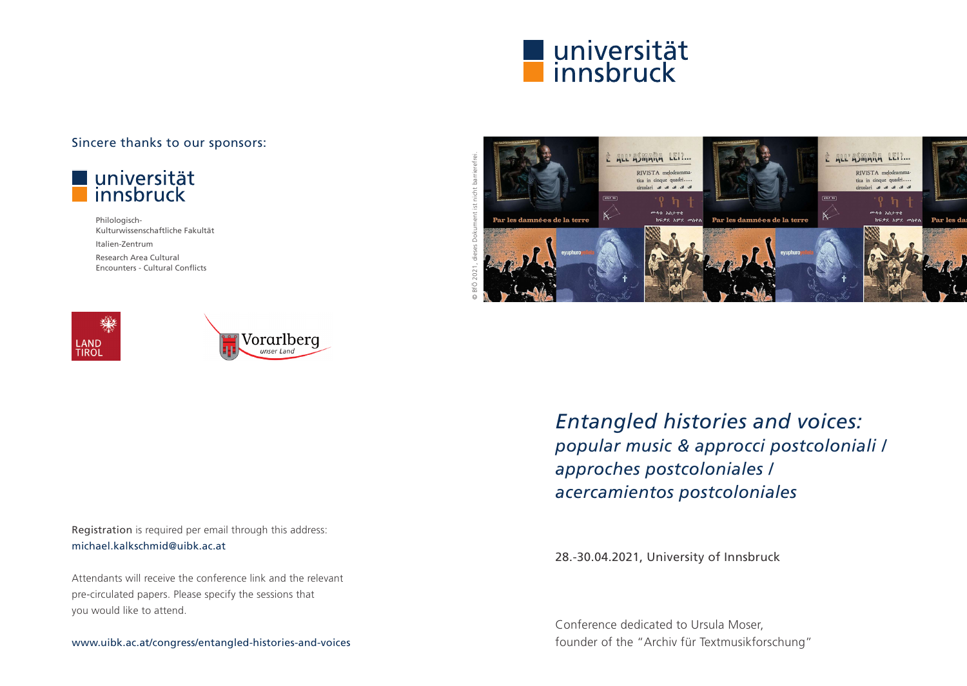

È ALL'ASMARA LEIP...

**DIVISTA** melodramma

tica in cinque quadri...

## Sincere thanks to our sponsors:



Philologisch-Kulturwissenschaftliche Fakultät Italien-Zentrum Research Area Cultural Encounters - Cultural Conflicts



© BfÖ 2021, dieses Dokument ist nicht barrierefrei.



È ALL'ASMARA LEIP ...

**PIVISTA** melodramma

tica in cinque quadri...

Registration is required per email through this address: michael.kalkschmid@uibk.ac.at

Attendants will receive the conference link and the relevant pre-circulated papers. Please specify the sessions that you would like to attend.

www.uibk.ac.at/congress/entangled-histories-and-voices

*Entangled histories and voices: popular music & approcci postcoloniali / approches postcoloniales / acercamientos postcoloniales*

28.-30.04.2021, University of Innsbruck

Conference dedicated to Ursula Moser, founder of the "Archiv für Textmusikforschung"